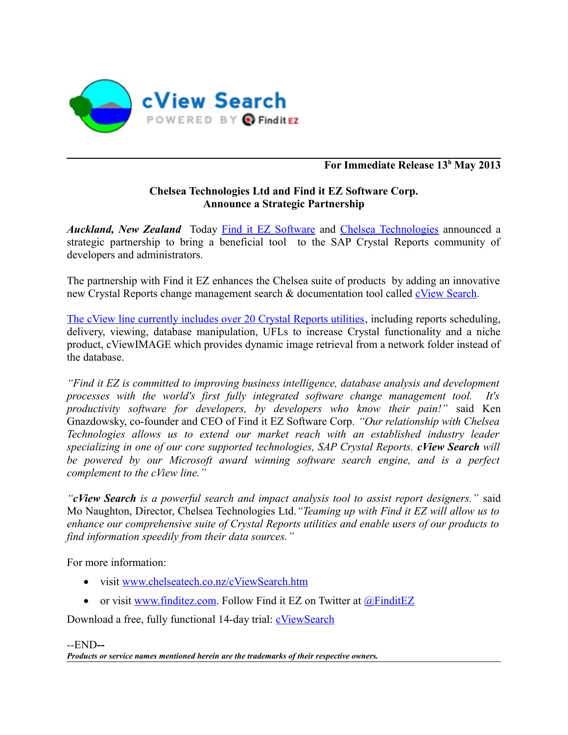

### **For Immediate Release 13<sup>h</sup> May 2013**

### **Chelsea Technologies Ltd and Find it EZ Software Corp. Announce a Strategic Partnership**

*Auckland, New Zealand* Today [Find it EZ Software](http://www.finditez.com/) and [Chelsea Technologies](http://www.chelseatech.co.nz/) announced a strategic partnership to bring a beneficial tool to the SAP Crystal Reports community of developers and administrators.

The partnership with Find it EZ enhances the Chelsea suite of products by adding an innovative new Crystal Reports change management search & documentation tool called [cView Search.](http://www.chelseatech.co.nz/cViewSearch.htm)

[The cView line currently includes over 20 Crystal Reports utilities,](http://www.chelseatech.co.nz/ctprod.htm) including reports scheduling, delivery, viewing, database manipulation, UFLs to increase Crystal functionality and a niche product, cViewIMAGE which provides dynamic image retrieval from a network folder instead of the database.

*"Find it EZ is committed to improving business intelligence, database analysis and development processes with the world's first fully integrated software change management tool. It's productivity software for developers, by developers who know their pain!"* said Ken Gnazdowsky, co-founder and CEO of Find it EZ Software Corp. *"Our relationship with Chelsea Technologies allows us to extend our market reach with an established industry leader specializing in one of our core supported technologies, SAP Crystal Reports. cView Search will be powered by our Microsoft award winning software search engine, and is a perfect complement to the cView line."*

*"cView Search is a powerful search and impact analysis tool to assist report designers."* said Mo Naughton, Director, Chelsea Technologies Ltd.*"Teaming up with Find it EZ will allow us to enhance our comprehensive suite of Crystal Reports utilities and enable users of our products to find information speedily from their data sources."*

For more information:

- visit [www.chelseatech.co.nz/cViewSearch.htm](http://www.chelseatech.co.nz/cViewSearch.htm)
- or visit [www.finditez.com.](https://www.finditez.com/company/#news) Follow Find it EZ on Twitter at  $@$ FinditEZ

Download a free, fully functional 14-day trial: [cViewSearch](http://www.chelseatech.net/download.htm#cView_Search)